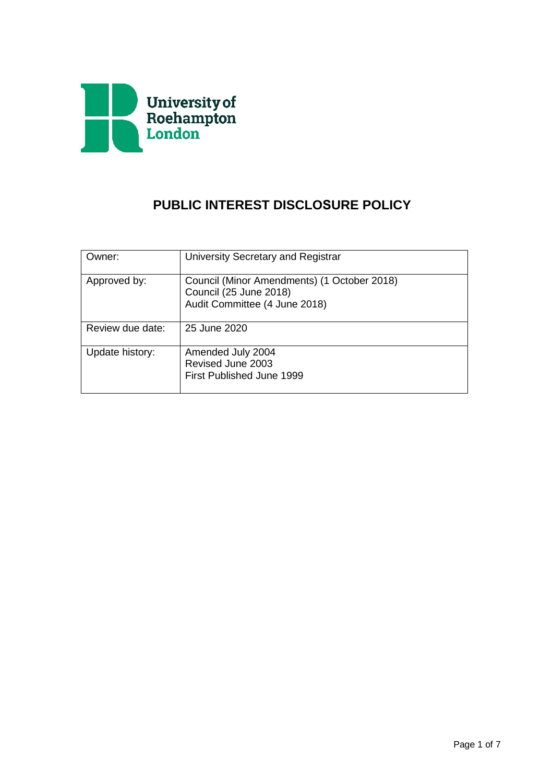

# **PUBLIC INTEREST DISCLOSURE POLICY**

| Owner:           | University Secretary and Registrar                                                                     |
|------------------|--------------------------------------------------------------------------------------------------------|
| Approved by:     | Council (Minor Amendments) (1 October 2018)<br>Council (25 June 2018)<br>Audit Committee (4 June 2018) |
| Review due date: | 25 June 2020                                                                                           |
| Update history:  | Amended July 2004<br>Revised June 2003<br>First Published June 1999                                    |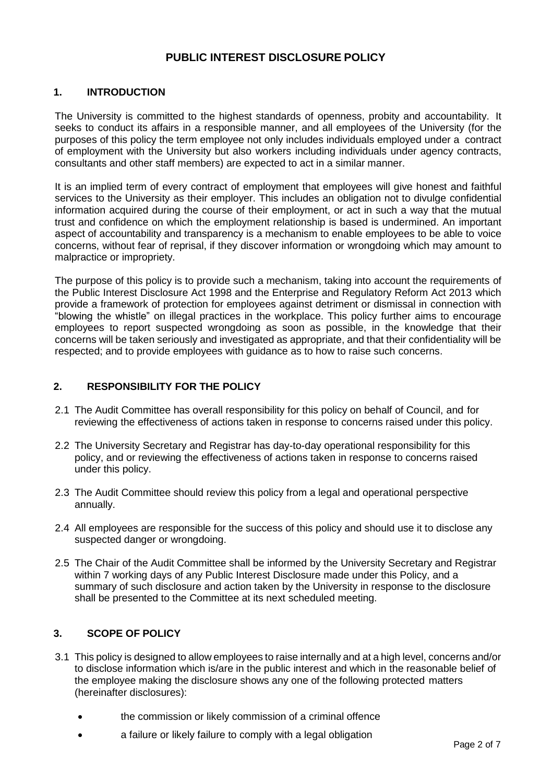# **PUBLIC INTEREST DISCLOSURE POLICY**

# **1. INTRODUCTION**

The University is committed to the highest standards of openness, probity and accountability. It seeks to conduct its affairs in a responsible manner, and all employees of the University (for the purposes of this policy the term employee not only includes individuals employed under a contract of employment with the University but also workers including individuals under agency contracts, consultants and other staff members) are expected to act in a similar manner.

It is an implied term of every contract of employment that employees will give honest and faithful services to the University as their employer. This includes an obligation not to divulge confidential information acquired during the course of their employment, or act in such a way that the mutual trust and confidence on which the employment relationship is based is undermined. An important aspect of accountability and transparency is a mechanism to enable employees to be able to voice concerns, without fear of reprisal, if they discover information or wrongdoing which may amount to malpractice or impropriety.

The purpose of this policy is to provide such a mechanism, taking into account the requirements of the Public Interest Disclosure Act 1998 and the Enterprise and Regulatory Reform Act 2013 which provide a framework of protection for employees against detriment or dismissal in connection with "blowing the whistle" on illegal practices in the workplace. This policy further aims to encourage employees to report suspected wrongdoing as soon as possible, in the knowledge that their concerns will be taken seriously and investigated as appropriate, and that their confidentiality will be respected; and to provide employees with guidance as to how to raise such concerns.

# **2. RESPONSIBILITY FOR THE POLICY**

- 2.1 The Audit Committee has overall responsibility for this policy on behalf of Council, and for reviewing the effectiveness of actions taken in response to concerns raised under this policy.
- 2.2 The University Secretary and Registrar has day-to-day operational responsibility for this policy, and or reviewing the effectiveness of actions taken in response to concerns raised under this policy.
- 2.3 The Audit Committee should review this policy from a legal and operational perspective annually.
- 2.4 All employees are responsible for the success of this policy and should use it to disclose any suspected danger or wrongdoing.
- 2.5 The Chair of the Audit Committee shall be informed by the University Secretary and Registrar within 7 working days of any Public Interest Disclosure made under this Policy, and a summary of such disclosure and action taken by the University in response to the disclosure shall be presented to the Committee at its next scheduled meeting.

# **3. SCOPE OF POLICY**

- 3.1 This policy is designed to allow employees to raise internally and at a high level, concerns and/or to disclose information which is/are in the public interest and which in the reasonable belief of the employee making the disclosure shows any one of the following protected matters (hereinafter disclosures):
	- the commission or likely commission of a criminal offence
	- a failure or likely failure to comply with a legal obligation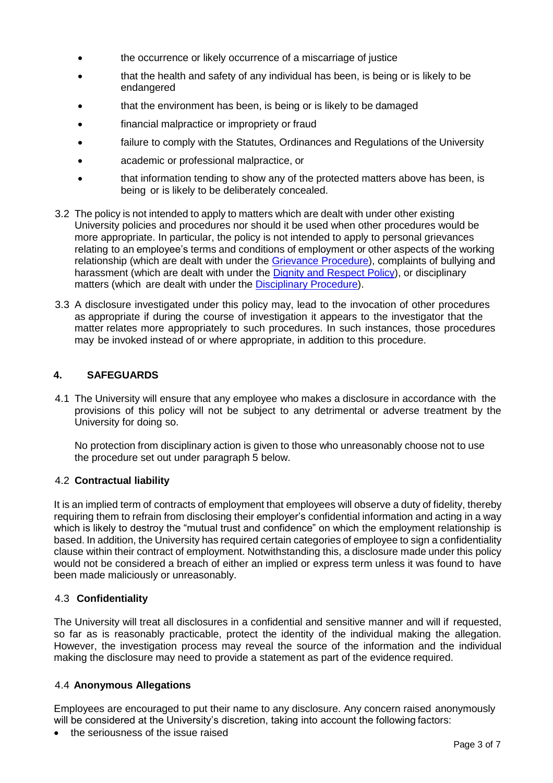- the occurrence or likely occurrence of a miscarriage of justice
- that the health and safety of any individual has been, is being or is likely to be endangered
- that the environment has been, is being or is likely to be damaged
- financial malpractice or impropriety or fraud
- failure to comply with the Statutes, Ordinances and Regulations of the University
- academic or professional malpractice, or
- that information tending to show any of the protected matters above has been, is being or is likely to be deliberately concealed.
- 3.2 The policy is not intended to apply to matters which are dealt with under other existing University policies and procedures nor should it be used when other procedures would be more appropriate. In particular, the policy is not intended to apply to personal grievances relating to an employee's terms and conditions of employment or other aspects of the working relationship (which are dealt with under the Grievance Procedure), complaints of bullying and harassment (which are dealt with under the Dignity and Respect Policy), or disciplinary matters (which are dealt with under the Disciplinary Procedure).
- 3.3 A disclosure investigated under this policy may, lead to the invocation of other procedures as appropriate if during the course of investigation it appears to the investigator that the matter relates more appropriately to such procedures. In such instances, those procedures may be invoked instead of or where appropriate, in addition to this procedure.

# **4. SAFEGUARDS**

4.1 The University will ensure that any employee who makes a disclosure in accordance with the provisions of this policy will not be subject to any detrimental or adverse treatment by the University for doing so.

No protection from disciplinary action is given to those who unreasonably choose not to use the procedure set out under paragraph 5 below.

# 4.2 **Contractual liability**

It is an implied term of contracts of employment that employees will observe a duty of fidelity, thereby requiring them to refrain from disclosing their employer's confidential information and acting in a way which is likely to destroy the "mutual trust and confidence" on which the employment relationship is based. In addition, the University has required certain categories of employee to sign a confidentiality clause within their contract of employment. Notwithstanding this, a disclosure made under this policy would not be considered a breach of either an implied or express term unless it was found to have been made maliciously or unreasonably.

# 4.3 **Confidentiality**

The University will treat all disclosures in a confidential and sensitive manner and will if requested, so far as is reasonably practicable, protect the identity of the individual making the allegation. However, the investigation process may reveal the source of the information and the individual making the disclosure may need to provide a statement as part of the evidence required.

# 4.4 **Anonymous Allegations**

Employees are encouraged to put their name to any disclosure. Any concern raised anonymously will be considered at the University's discretion, taking into account the following factors:

• the seriousness of the issue raised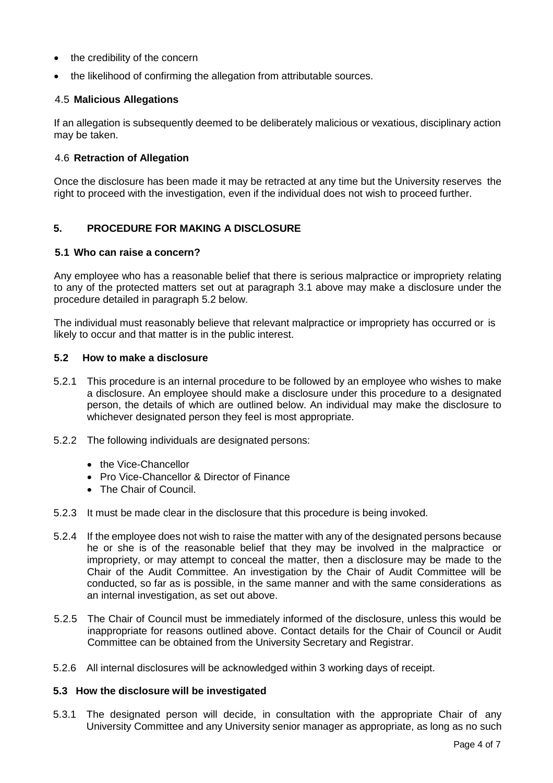- the credibility of the concern
- the likelihood of confirming the allegation from attributable sources.

#### 4.5 **Malicious Allegations**

If an allegation is subsequently deemed to be deliberately malicious or vexatious, disciplinary action may be taken.

#### 4.6 **Retraction of Allegation**

Once the disclosure has been made it may be retracted at any time but the University reserves the right to proceed with the investigation, even if the individual does not wish to proceed further.

# **5. PROCEDURE FOR MAKING A DISCLOSURE**

#### **5.1 Who can raise a concern?**

Any employee who has a reasonable belief that there is serious malpractice or impropriety relating to any of the protected matters set out at paragraph 3.1 above may make a disclosure under the procedure detailed in paragraph 5.2 below.

The individual must reasonably believe that relevant malpractice or impropriety has occurred or is likely to occur and that matter is in the public interest.

#### **5.2 How to make a disclosure**

- 5.2.1 This procedure is an internal procedure to be followed by an employee who wishes to make a disclosure. An employee should make a disclosure under this procedure to a designated person, the details of which are outlined below. An individual may make the disclosure to whichever designated person they feel is most appropriate.
- 5.2.2 The following individuals are designated persons:
	- the Vice-Chancellor
	- Pro Vice-Chancellor & Director of Finance
	- The Chair of Council.
- 5.2.3 It must be made clear in the disclosure that this procedure is being invoked.
- 5.2.4 If the employee does not wish to raise the matter with any of the designated persons because he or she is of the reasonable belief that they may be involved in the malpractice or impropriety, or may attempt to conceal the matter, then a disclosure may be made to the Chair of the Audit Committee. An investigation by the Chair of Audit Committee will be conducted, so far as is possible, in the same manner and with the same considerations as an internal investigation, as set out above.
- 5.2.5 The Chair of Council must be immediately informed of the disclosure, unless this would be inappropriate for reasons outlined above. Contact details for the Chair of Council or Audit Committee can be obtained from the University Secretary and Registrar.
- 5.2.6 All internal disclosures will be acknowledged within 3 working days of receipt.

#### **5.3 How the disclosure will be investigated**

5.3.1 The designated person will decide, in consultation with the appropriate Chair of any University Committee and any University senior manager as appropriate, as long as no such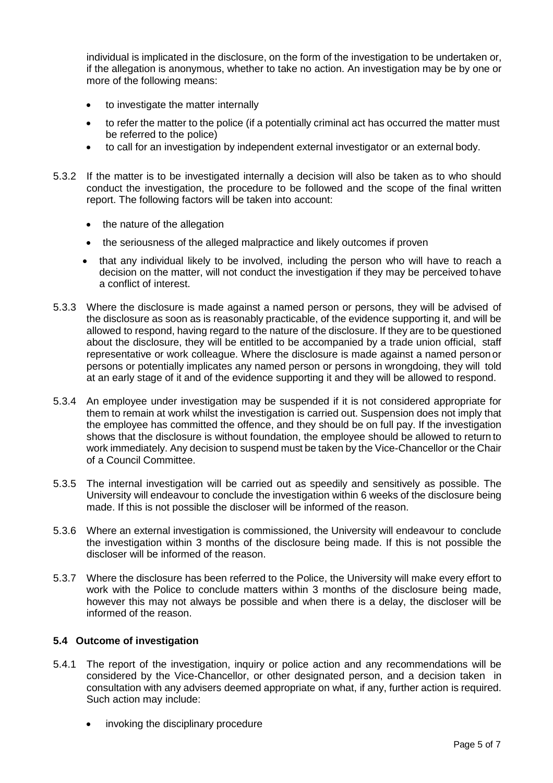individual is implicated in the disclosure, on the form of the investigation to be undertaken or, if the allegation is anonymous, whether to take no action. An investigation may be by one or more of the following means:

- to investigate the matter internally
- to refer the matter to the police (if a potentially criminal act has occurred the matter must be referred to the police)
- to call for an investigation by independent external investigator or an external body.
- 5.3.2 If the matter is to be investigated internally a decision will also be taken as to who should conduct the investigation, the procedure to be followed and the scope of the final written report. The following factors will be taken into account:
	- the nature of the allegation
	- the seriousness of the alleged malpractice and likely outcomes if proven
	- that any individual likely to be involved, including the person who will have to reach a decision on the matter, will not conduct the investigation if they may be perceived tohave a conflict of interest.
- 5.3.3 Where the disclosure is made against a named person or persons, they will be advised of the disclosure as soon as is reasonably practicable, of the evidence supporting it, and will be allowed to respond, having regard to the nature of the disclosure. If they are to be questioned about the disclosure, they will be entitled to be accompanied by a trade union official, staff representative or work colleague. Where the disclosure is made against a named person or persons or potentially implicates any named person or persons in wrongdoing, they will told at an early stage of it and of the evidence supporting it and they will be allowed to respond.
- 5.3.4 An employee under investigation may be suspended if it is not considered appropriate for them to remain at work whilst the investigation is carried out. Suspension does not imply that the employee has committed the offence, and they should be on full pay. If the investigation shows that the disclosure is without foundation, the employee should be allowed to return to work immediately. Any decision to suspend must be taken by the Vice-Chancellor or the Chair of a Council Committee.
- 5.3.5 The internal investigation will be carried out as speedily and sensitively as possible. The University will endeavour to conclude the investigation within 6 weeks of the disclosure being made. If this is not possible the discloser will be informed of the reason.
- 5.3.6 Where an external investigation is commissioned, the University will endeavour to conclude the investigation within 3 months of the disclosure being made. If this is not possible the discloser will be informed of the reason.
- 5.3.7 Where the disclosure has been referred to the Police, the University will make every effort to work with the Police to conclude matters within 3 months of the disclosure being made, however this may not always be possible and when there is a delay, the discloser will be informed of the reason.

# **5.4 Outcome of investigation**

- 5.4.1 The report of the investigation, inquiry or police action and any recommendations will be considered by the Vice-Chancellor, or other designated person, and a decision taken in consultation with any advisers deemed appropriate on what, if any, further action is required. Such action may include:
	- invoking the disciplinary procedure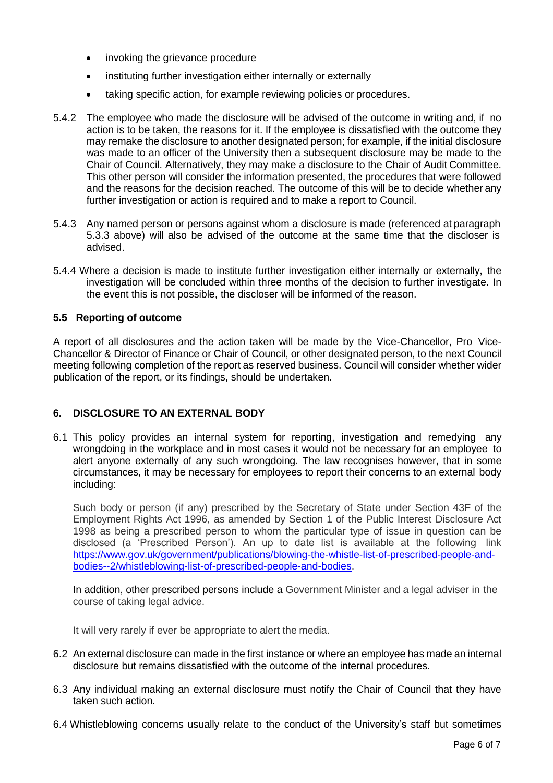- invoking the grievance procedure
- instituting further investigation either internally or externally
- taking specific action, for example reviewing policies or procedures.
- 5.4.2 The employee who made the disclosure will be advised of the outcome in writing and, if no action is to be taken, the reasons for it. If the employee is dissatisfied with the outcome they may remake the disclosure to another designated person; for example, if the initial disclosure was made to an officer of the University then a subsequent disclosure may be made to the Chair of Council. Alternatively, they may make a disclosure to the Chair of Audit Committee. This other person will consider the information presented, the procedures that were followed and the reasons for the decision reached. The outcome of this will be to decide whether any further investigation or action is required and to make a report to Council.
- 5.4.3 Any named person or persons against whom a disclosure is made (referenced at paragraph 5.3.3 above) will also be advised of the outcome at the same time that the discloser is advised.
- 5.4.4 Where a decision is made to institute further investigation either internally or externally, the investigation will be concluded within three months of the decision to further investigate. In the event this is not possible, the discloser will be informed of the reason.

# **5.5 Reporting of outcome**

A report of all disclosures and the action taken will be made by the Vice-Chancellor, Pro Vice-Chancellor & Director of Finance or Chair of Council, or other designated person, to the next Council meeting following completion of the report as reserved business. Council will consider whether wider publication of the report, or its findings, should be undertaken.

# **6. DISCLOSURE TO AN EXTERNAL BODY**

6.1 This policy provides an internal system for reporting, investigation and remedying any wrongdoing in the workplace and in most cases it would not be necessary for an employee to alert anyone externally of any such wrongdoing. The law recognises however, that in some circumstances, it may be necessary for employees to report their concerns to an external body including:

Such body or person (if any) prescribed by the Secretary of State under Section 43F of the Employment Rights Act 1996, as amended by Section 1 of the Public Interest Disclosure Act 1998 as being a prescribed person to whom the particular type of issue in question can be disclosed (a 'Prescribed Person'). An up to date list is available at the following link https:/[/www.gov.uk/government/publications/blowing-the-whistle-list-of-prescribed-people-and](http://www.gov.uk/government/publications/blowing-the-whistle-list-of-prescribed-people-and-)bodies--2/whistleblowing-list-of-prescribed-people-and-bodies.

In addition, other prescribed persons include a Government Minister and a legal adviser in the course of taking legal advice.

It will very rarely if ever be appropriate to alert the media.

- 6.2 An external disclosure can made in the first instance or where an employee has made an internal disclosure but remains dissatisfied with the outcome of the internal procedures.
- 6.3 Any individual making an external disclosure must notify the Chair of Council that they have taken such action.
- 6.4 Whistleblowing concerns usually relate to the conduct of the University's staff but sometimes